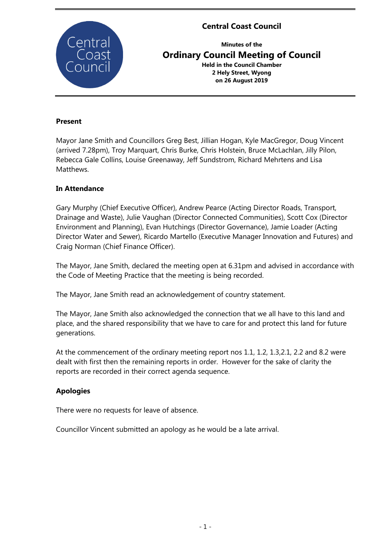# **Central Coast Council**



**Minutes of the Ordinary Council Meeting of Council Held in the Council Chamber 2 Hely Street, Wyong**

**on 26 August 2019**

## **Present**

Mayor Jane Smith and Councillors Greg Best, Jillian Hogan, Kyle MacGregor, Doug Vincent (arrived 7.28pm), Troy Marquart, Chris Burke, Chris Holstein, Bruce McLachlan, Jilly Pilon, Rebecca Gale Collins, Louise Greenaway, Jeff Sundstrom, Richard Mehrtens and Lisa Matthews.

#### **In Attendance**

Gary Murphy (Chief Executive Officer), Andrew Pearce (Acting Director Roads, Transport, Drainage and Waste), Julie Vaughan (Director Connected Communities), Scott Cox (Director Environment and Planning), Evan Hutchings (Director Governance), Jamie Loader (Acting Director Water and Sewer), Ricardo Martello (Executive Manager Innovation and Futures) and Craig Norman (Chief Finance Officer).

The Mayor, Jane Smith, declared the meeting open at 6.31pm and advised in accordance with the Code of Meeting Practice that the meeting is being recorded.

The Mayor, Jane Smith read an acknowledgement of country statement.

The Mayor, Jane Smith also acknowledged the connection that we all have to this land and place, and the shared responsibility that we have to care for and protect this land for future generations.

At the commencement of the ordinary meeting report nos 1.1, 1.2, 1.3,2.1, 2.2 and 8.2 were dealt with first then the remaining reports in order. However for the sake of clarity the reports are recorded in their correct agenda sequence.

## **Apologies**

There were no requests for leave of absence.

Councillor Vincent submitted an apology as he would be a late arrival.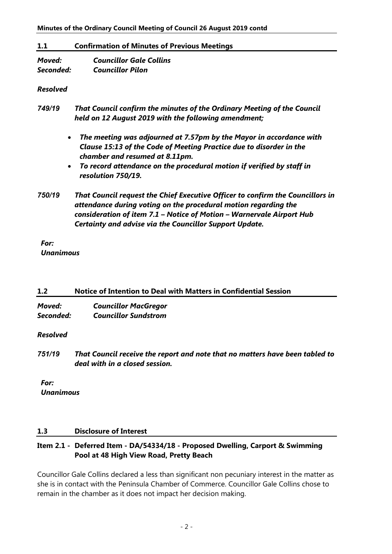## **1.1 Confirmation of Minutes of Previous Meetings**

| Moved:    | <b>Councillor Gale Collins</b> |
|-----------|--------------------------------|
| Seconded: | <b>Councillor Pilon</b>        |

## *Resolved*

- *749/19 That Council confirm the minutes of the Ordinary Meeting of the Council held on 12 August 2019 with the following amendment;*
	- *The meeting was adjourned at 7.57pm by the Mayor in accordance with Clause 15:13 of the Code of Meeting Practice due to disorder in the chamber and resumed at 8.11pm.*
	- *To record attendance on the procedural motion if verified by staff in resolution 750/19.*
- *750/19 That Council request the Chief Executive Officer to confirm the Councillors in attendance during voting on the procedural motion regarding the consideration of item 7.1 – Notice of Motion – Warnervale Airport Hub Certainty and advise via the Councillor Support Update.*

*For: Unanimous*

## **1.2 Notice of Intention to Deal with Matters in Confidential Session**

*Moved: Councillor MacGregor Seconded: Councillor Sundstrom*

## *Resolved*

*751/19 That Council receive the report and note that no matters have been tabled to deal with in a closed session.* 

*For: Unanimous*

# **1.3 Disclosure of Interest**

# **Item 2.1 - Deferred Item - DA/54334/18 - Proposed Dwelling, Carport & Swimming Pool at 48 High View Road, Pretty Beach**

Councillor Gale Collins declared a less than significant non pecuniary interest in the matter as she is in contact with the Peninsula Chamber of Commerce. Councillor Gale Collins chose to remain in the chamber as it does not impact her decision making.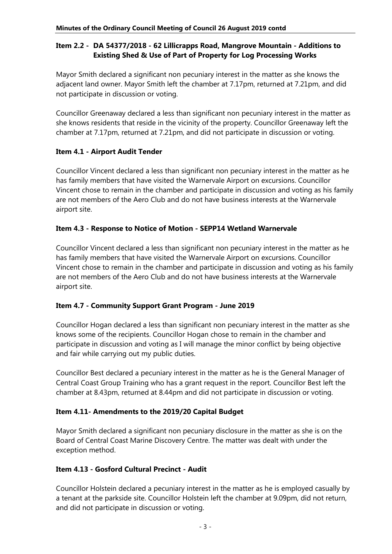# **Item 2.2 - DA 54377/2018 - 62 Lillicrapps Road, Mangrove Mountain - Additions to Existing Shed & Use of Part of Property for Log Processing Works**

Mayor Smith declared a significant non pecuniary interest in the matter as she knows the adjacent land owner. Mayor Smith left the chamber at 7.17pm, returned at 7.21pm, and did not participate in discussion or voting.

Councillor Greenaway declared a less than significant non pecuniary interest in the matter as she knows residents that reside in the vicinity of the property. Councillor Greenaway left the chamber at 7.17pm, returned at 7.21pm, and did not participate in discussion or voting.

# **Item 4.1 - Airport Audit Tender**

Councillor Vincent declared a less than significant non pecuniary interest in the matter as he has family members that have visited the Warnervale Airport on excursions. Councillor Vincent chose to remain in the chamber and participate in discussion and voting as his family are not members of the Aero Club and do not have business interests at the Warnervale airport site.

# **Item 4.3 - Response to Notice of Motion - SEPP14 Wetland Warnervale**

Councillor Vincent declared a less than significant non pecuniary interest in the matter as he has family members that have visited the Warnervale Airport on excursions. Councillor Vincent chose to remain in the chamber and participate in discussion and voting as his family are not members of the Aero Club and do not have business interests at the Warnervale airport site.

## **Item 4.7 - Community Support Grant Program - June 2019**

Councillor Hogan declared a less than significant non pecuniary interest in the matter as she knows some of the recipients. Councillor Hogan chose to remain in the chamber and participate in discussion and voting as I will manage the minor conflict by being objective and fair while carrying out my public duties.

Councillor Best declared a pecuniary interest in the matter as he is the General Manager of Central Coast Group Training who has a grant request in the report. Councillor Best left the chamber at 8.43pm, returned at 8.44pm and did not participate in discussion or voting.

## **Item 4.11- Amendments to the 2019/20 Capital Budget**

Mayor Smith declared a significant non pecuniary disclosure in the matter as she is on the Board of Central Coast Marine Discovery Centre. The matter was dealt with under the exception method.

## **Item 4.13 - Gosford Cultural Precinct - Audit**

Councillor Holstein declared a pecuniary interest in the matter as he is employed casually by a tenant at the parkside site. Councillor Holstein left the chamber at 9.09pm, did not return, and did not participate in discussion or voting.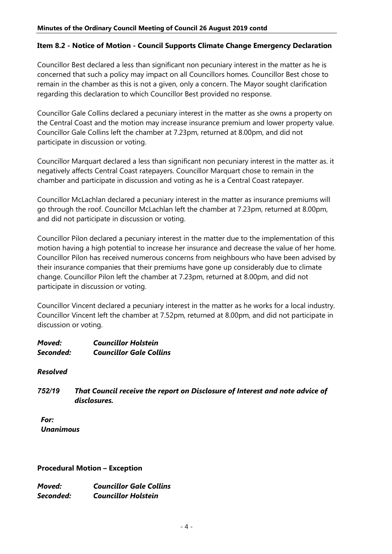#### **Item 8.2 - Notice of Motion - Council Supports Climate Change Emergency Declaration**

Councillor Best declared a less than significant non pecuniary interest in the matter as he is concerned that such a policy may impact on all Councillors homes. Councillor Best chose to remain in the chamber as this is not a given, only a concern. The Mayor sought clarification regarding this declaration to which Councillor Best provided no response.

Councillor Gale Collins declared a pecuniary interest in the matter as she owns a property on the Central Coast and the motion may increase insurance premium and lower property value. Councillor Gale Collins left the chamber at 7.23pm, returned at 8.00pm, and did not participate in discussion or voting.

Councillor Marquart declared a less than significant non pecuniary interest in the matter as. it negatively affects Central Coast ratepayers. Councillor Marquart chose to remain in the chamber and participate in discussion and voting as he is a Central Coast ratepayer.

Councillor McLachlan declared a pecuniary interest in the matter as insurance premiums will go through the roof. Councillor McLachlan left the chamber at 7.23pm, returned at 8.00pm, and did not participate in discussion or voting.

Councillor Pilon declared a pecuniary interest in the matter due to the implementation of this motion having a high potential to increase her insurance and decrease the value of her home. Councillor Pilon has received numerous concerns from neighbours who have been advised by their insurance companies that their premiums have gone up considerably due to climate change. Councillor Pilon left the chamber at 7.23pm, returned at 8.00pm, and did not participate in discussion or voting.

Councillor Vincent declared a pecuniary interest in the matter as he works for a local industry. Councillor Vincent left the chamber at 7.52pm, returned at 8.00pm, and did not participate in discussion or voting.

| Moved:    | <b>Councillor Holstein</b>     |
|-----------|--------------------------------|
| Seconded: | <b>Councillor Gale Collins</b> |

*Resolved*

*752/19 That Council receive the report on Disclosure of Interest and note advice of disclosures.*

*For: Unanimous*

#### **Procedural Motion – Exception**

*Moved: Councillor Gale Collins Seconded: Councillor Holstein*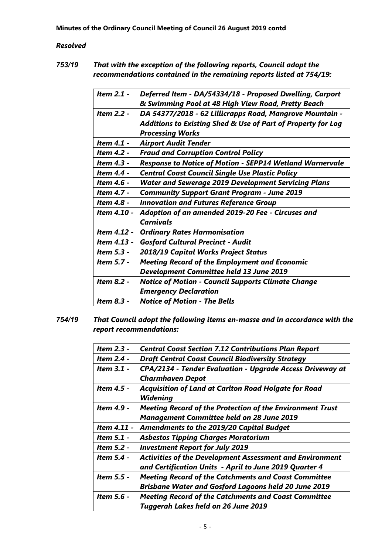## *Resolved*

*753/19 That with the exception of the following reports, Council adopt the recommendations contained in the remaining reports listed at 754/19:*

| Deferred Item - DA/54334/18 - Proposed Dwelling, Carport        |
|-----------------------------------------------------------------|
| & Swimming Pool at 48 High View Road, Pretty Beach              |
| DA 54377/2018 - 62 Lillicrapps Road, Mangrove Mountain -        |
| Additions to Existing Shed & Use of Part of Property for Log    |
| <b>Processing Works</b>                                         |
| <b>Airport Audit Tender</b>                                     |
| <b>Fraud and Corruption Control Policy</b>                      |
| <b>Response to Notice of Motion - SEPP14 Wetland Warnervale</b> |
| <b>Central Coast Council Single Use Plastic Policy</b>          |
| <b>Water and Sewerage 2019 Development Servicing Plans</b>      |
| <b>Community Support Grant Program - June 2019</b>              |
| <b>Innovation and Futures Reference Group</b>                   |
| Adoption of an amended 2019-20 Fee - Circuses and               |
| <b>Carnivals</b>                                                |
| Item 4.12 -<br><b>Ordinary Rates Harmonisation</b>              |
| Item 4.13 -<br><b>Gosford Cultural Precinct - Audit</b>         |
| 2018/19 Capital Works Project Status                            |
| <b>Meeting Record of the Employment and Economic</b>            |
| <b>Development Committee held 13 June 2019</b>                  |
| <b>Notice of Motion - Council Supports Climate Change</b>       |
| <b>Emergency Declaration</b>                                    |
| <b>Notice of Motion - The Bells</b>                             |
|                                                                 |

*754/19 That Council adopt the following items en-masse and in accordance with the report recommendations:*

| Item 2.3 -  | <b>Central Coast Section 7.12 Contributions Plan Report</b>      |
|-------------|------------------------------------------------------------------|
| Item 2.4 -  | <b>Draft Central Coast Council Biodiversity Strategy</b>         |
| Item 3.1 -  | CPA/2134 - Tender Evaluation - Upgrade Access Driveway at        |
|             | <b>Charmhaven Depot</b>                                          |
| Item 4.5 -  | Acquisition of Land at Carlton Road Holgate for Road             |
|             | Widening                                                         |
| Item 4.9 -  | <b>Meeting Record of the Protection of the Environment Trust</b> |
|             | <b>Management Committee held on 28 June 2019</b>                 |
| Item 4.11 - | <b>Amendments to the 2019/20 Capital Budget</b>                  |
| Item 5.1 -  | <b>Asbestos Tipping Charges Moratorium</b>                       |
| Item 5.2 -  | <b>Investment Report for July 2019</b>                           |
| Item 5.4 -  | <b>Activities of the Development Assessment and Environment</b>  |
|             | and Certification Units - April to June 2019 Quarter 4           |
| Item 5.5 -  | <b>Meeting Record of the Catchments and Coast Committee</b>      |
|             | <b>Brisbane Water and Gosford Lagoons held 20 June 2019</b>      |
| Item 5.6 -  | <b>Meeting Record of the Catchments and Coast Committee</b>      |
|             | Tuggerah Lakes held on 26 June 2019                              |
|             |                                                                  |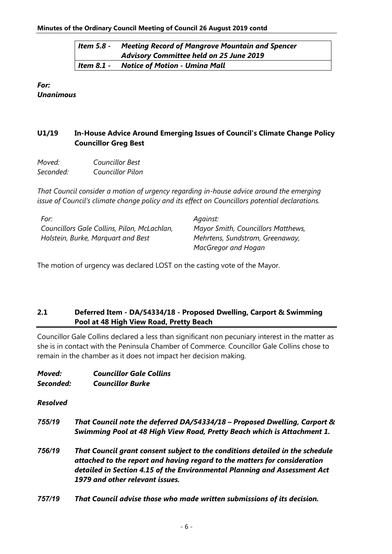*Item 5.8 - Meeting Record of Mangrove Mountain and Spencer Advisory Committee held on 25 June 2019 Item 8.1 - Notice of Motion - Umina Mall*

#### *For: Unanimous*

# **U1/19 In-House Advice Around Emerging Issues of Council's Climate Change Policy Councillor Greg Best**

*Moved: Councillor Best Seconded: Councillor Pilon*

*That Council consider a motion of urgency regarding in-house advice around the emerging issue of Council's climate change policy and its effect on Councillors potential declarations.* 

*For: Against: Councillors Gale Collins, Pilon, McLachlan, Holstein, Burke, Marquart and Best*

*Mayor Smith, Councillors Matthews, Mehrtens, Sundstrom, Greenaway, MacGregor and Hogan*

The motion of urgency was declared LOST on the casting vote of the Mayor.

# **2.1 Deferred Item - DA/54334/18 - Proposed Dwelling, Carport & Swimming Pool at 48 High View Road, Pretty Beach**

Councillor Gale Collins declared a less than significant non pecuniary interest in the matter as she is in contact with the Peninsula Chamber of Commerce. Councillor Gale Collins chose to remain in the chamber as it does not impact her decision making.

| Moved:    | <b>Councillor Gale Collins</b> |
|-----------|--------------------------------|
| Seconded: | <b>Councillor Burke</b>        |

- *755/19 That Council note the deferred DA/54334/18 – Proposed Dwelling, Carport & Swimming Pool at 48 High View Road, Pretty Beach which is Attachment 1.*
- *756/19 That Council grant consent subject to the conditions detailed in the schedule attached to the report and having regard to the matters for consideration detailed in Section 4.15 of the Environmental Planning and Assessment Act 1979 and other relevant issues.*
- *757/19 That Council advise those who made written submissions of its decision.*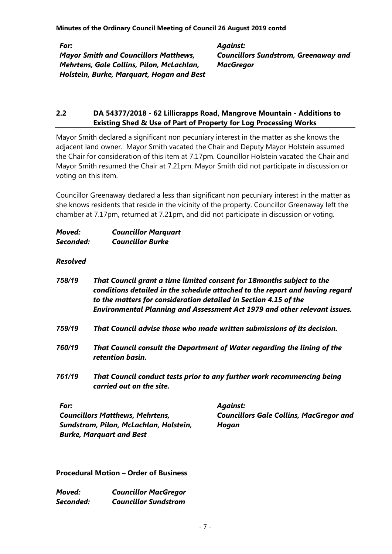*For: Against: Mayor Smith and Councillors Matthews, Mehrtens, Gale Collins, Pilon, McLachlan, Holstein, Burke, Marquart, Hogan and Best*

*Councillors Sundstrom, Greenaway and MacGregor*

# **2.2 DA 54377/2018 - 62 Lillicrapps Road, Mangrove Mountain - Additions to Existing Shed & Use of Part of Property for Log Processing Works**

Mayor Smith declared a significant non pecuniary interest in the matter as she knows the adjacent land owner. Mayor Smith vacated the Chair and Deputy Mayor Holstein assumed the Chair for consideration of this item at 7.17pm. Councillor Holstein vacated the Chair and Mayor Smith resumed the Chair at 7.21pm. Mayor Smith did not participate in discussion or voting on this item.

Councillor Greenaway declared a less than significant non pecuniary interest in the matter as she knows residents that reside in the vicinity of the property. Councillor Greenaway left the chamber at 7.17pm, returned at 7.21pm, and did not participate in discussion or voting.

| Moved:<br>Seconded:                                                                                           | <b>Councillor Marquart</b><br><b>Councillor Burke</b>                                                                                                                                                                                                                                                   |                                                                            |
|---------------------------------------------------------------------------------------------------------------|---------------------------------------------------------------------------------------------------------------------------------------------------------------------------------------------------------------------------------------------------------------------------------------------------------|----------------------------------------------------------------------------|
| <b>Resolved</b>                                                                                               |                                                                                                                                                                                                                                                                                                         |                                                                            |
| 758/19                                                                                                        | That Council grant a time limited consent for 18 months subject to the<br>conditions detailed in the schedule attached to the report and having regard<br>to the matters for consideration detailed in Section 4.15 of the<br>Environmental Planning and Assessment Act 1979 and other relevant issues. |                                                                            |
| 759/19                                                                                                        | That Council advise those who made written submissions of its decision.                                                                                                                                                                                                                                 |                                                                            |
| 760/19                                                                                                        | That Council consult the Department of Water regarding the lining of the<br>retention basin.                                                                                                                                                                                                            |                                                                            |
| 761/19<br>That Council conduct tests prior to any further work recommencing being<br>carried out on the site. |                                                                                                                                                                                                                                                                                                         |                                                                            |
| For:                                                                                                          | <b>Councillors Matthews, Mehrtens,</b><br>Sundstrom, Pilon, McLachlan, Holstein,<br><b>Burke, Marquart and Best</b>                                                                                                                                                                                     | <b>Against:</b><br><b>Councillors Gale Collins, MacGregor and</b><br>Hogan |

**Procedural Motion – Order of Business** 

*Moved: Councillor MacGregor Seconded: Councillor Sundstrom*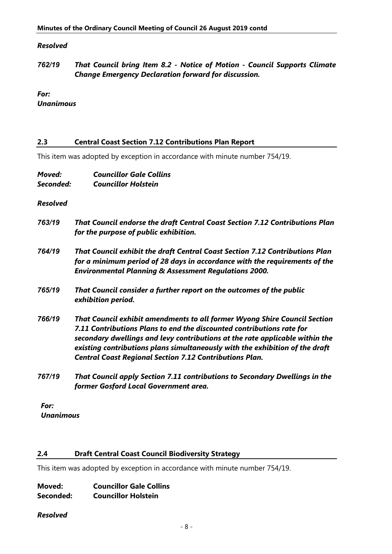#### *Resolved*

## *762/19 That Council bring Item 8.2 - Notice of Motion - Council Supports Climate Change Emergency Declaration forward for discussion.*

*For: Unanimous*

#### **2.3 Central Coast Section 7.12 Contributions Plan Report**

This item was adopted by exception in accordance with minute number 754/19.

| Moved:    | <b>Councillor Gale Collins</b> |
|-----------|--------------------------------|
| Seconded: | <b>Councillor Holstein</b>     |

#### *Resolved*

| 763/19 | That Council endorse the draft Central Coast Section 7.12 Contributions Plan<br>for the purpose of public exhibition.                                                                                                                                                                                                                                                                |
|--------|--------------------------------------------------------------------------------------------------------------------------------------------------------------------------------------------------------------------------------------------------------------------------------------------------------------------------------------------------------------------------------------|
| 764/19 | That Council exhibit the draft Central Coast Section 7.12 Contributions Plan<br>for a minimum period of 28 days in accordance with the requirements of the<br><b>Environmental Planning &amp; Assessment Regulations 2000.</b>                                                                                                                                                       |
| 765/19 | That Council consider a further report on the outcomes of the public<br>exhibition period.                                                                                                                                                                                                                                                                                           |
| 766/19 | That Council exhibit amendments to all former Wyong Shire Council Section<br>7.11 Contributions Plans to end the discounted contributions rate for<br>secondary dwellings and levy contributions at the rate applicable within the<br>existing contributions plans simultaneously with the exhibition of the draft<br><b>Central Coast Regional Section 7.12 Contributions Plan.</b> |
| 767/19 | That Council apply Section 7.11 contributions to Secondary Dwellings in the<br>former Gosford Local Government area.                                                                                                                                                                                                                                                                 |

*For: Unanimous*

## **2.4 Draft Central Coast Council Biodiversity Strategy**

This item was adopted by exception in accordance with minute number 754/19.

**Moved: Councillor Gale Collins Seconded: Councillor Holstein**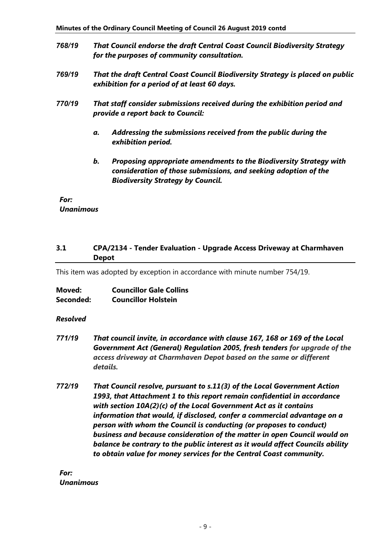- *768/19 That Council endorse the draft Central Coast Council Biodiversity Strategy for the purposes of community consultation.*
- *769/19 That the draft Central Coast Council Biodiversity Strategy is placed on public exhibition for a period of at least 60 days.*
- *770/19 That staff consider submissions received during the exhibition period and provide a report back to Council:*
	- *a. Addressing the submissions received from the public during the exhibition period.*
	- *b. Proposing appropriate amendments to the Biodiversity Strategy with consideration of those submissions, and seeking adoption of the Biodiversity Strategy by Council.*

*For: Unanimous*

#### **3.1 CPA/2134 - Tender Evaluation - Upgrade Access Driveway at Charmhaven Depot**

This item was adopted by exception in accordance with minute number 754/19.

| Moved:    | <b>Councillor Gale Collins</b> |
|-----------|--------------------------------|
| Seconded: | <b>Councillor Holstein</b>     |

#### *Resolved*

- *771/19 That council invite, in accordance with clause 167, 168 or 169 of the Local Government Act (General) Regulation 2005, fresh tenders for upgrade of the access driveway at Charmhaven Depot based on the same or different details.*
- *772/19 That Council resolve, pursuant to s.11(3) of the Local Government Action 1993, that Attachment 1 to this report remain confidential in accordance with section 10A(2)(c) of the Local Government Act as it contains information that would, if disclosed, confer a commercial advantage on a person with whom the Council is conducting (or proposes to conduct) business and because consideration of the matter in open Council would on balance be contrary to the public interest as it would affect Councils ability to obtain value for money services for the Central Coast community.*

*For: Unanimous*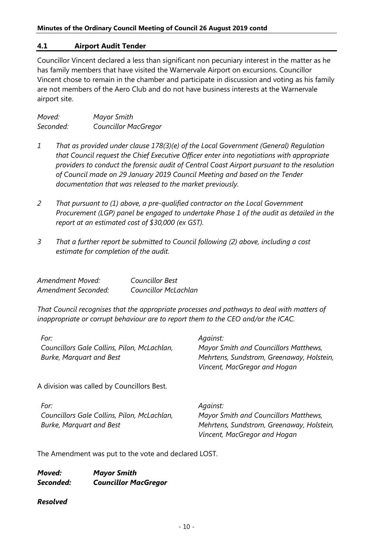#### **4.1 Airport Audit Tender**

Councillor Vincent declared a less than significant non pecuniary interest in the matter as he has family members that have visited the Warnervale Airport on excursions. Councillor Vincent chose to remain in the chamber and participate in discussion and voting as his family are not members of the Aero Club and do not have business interests at the Warnervale airport site.

*Moved: Mayor Smith Seconded: Councillor MacGregor* 

- *1 That as provided under clause 178(3)(e) of the Local Government (General) Regulation that Council request the Chief Executive Officer enter into negotiations with appropriate providers to conduct the forensic audit of Central Coast Airport pursuant to the resolution of Council made on 29 January 2019 Council Meeting and based on the Tender documentation that was released to the market previously.*
- *2 That pursuant to (1) above, a pre-qualified contractor on the Local Government Procurement (LGP) panel be engaged to undertake Phase 1 of the audit as detailed in the report at an estimated cost of \$30,000 (ex GST).*
- *3 That a further report be submitted to Council following (2) above, including a cost estimate for completion of the audit.*

| Amendment Moved:    | Councillor Best             |
|---------------------|-----------------------------|
| Amendment Seconded: | <b>Councillor McLachlan</b> |

*That Council recognises that the appropriate processes and pathways to deal with matters of inappropriate or corrupt behaviour are to report them to the CEO and/or the ICAC.*

| For:                                        | Against:                                  |
|---------------------------------------------|-------------------------------------------|
| Councillors Gale Collins, Pilon, McLachlan, | Mayor Smith and Councillors Matthews,     |
| Burke, Marquart and Best                    | Mehrtens, Sundstrom, Greenaway, Holstein, |
|                                             | Vincent, MacGregor and Hogan              |

A division was called by Councillors Best.

| For:                                        | Against:                                  |
|---------------------------------------------|-------------------------------------------|
| Councillors Gale Collins, Pilon, McLachlan, | Mayor Smith and Councillors Matthews,     |
| Burke, Marquart and Best                    | Mehrtens, Sundstrom, Greenaway, Holstein, |
|                                             | Vincent, MacGregor and Hogan              |

The Amendment was put to the vote and declared LOST.

*Moved: Mayor Smith Seconded: Councillor MacGregor*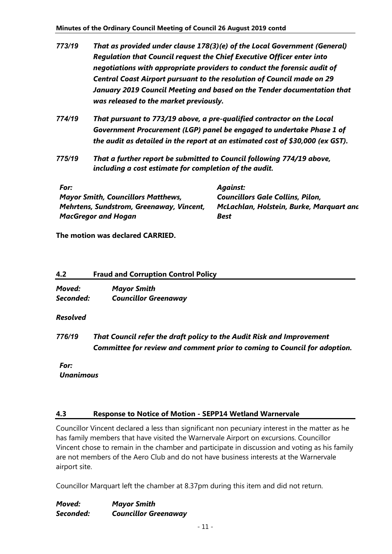- *773/19 That as provided under clause 178(3)(e) of the Local Government (General) Regulation that Council request the Chief Executive Officer enter into negotiations with appropriate providers to conduct the forensic audit of Central Coast Airport pursuant to the resolution of Council made on 29 January 2019 Council Meeting and based on the Tender documentation that was released to the market previously.*
- *774/19 That pursuant to 773/19 above, a pre-qualified contractor on the Local Government Procurement (LGP) panel be engaged to undertake Phase 1 of the audit as detailed in the report at an estimated cost of \$30,000 (ex GST).*
- *775/19 That a further report be submitted to Council following 774/19 above, including a cost estimate for completion of the audit.*

| For:                                            | Against:                                 |
|-------------------------------------------------|------------------------------------------|
| <b>Mayor Smith, Councillors Matthews,</b>       | <b>Councillors Gale Collins, Pilon,</b>  |
| <b>Mehrtens, Sundstrom, Greenaway, Vincent,</b> | McLachlan, Holstein, Burke, Marquart and |
| <b>MacGregor and Hogan</b>                      | Best                                     |

**The motion was declared CARRIED.**

# **4.2 Fraud and Corruption Control Policy**

| Moved:    | <b>Mayor Smith</b>          |
|-----------|-----------------------------|
| Seconded: | <b>Councillor Greenaway</b> |

*Resolved*

*776/19 That Council refer the draft policy to the Audit Risk and Improvement Committee for review and comment prior to coming to Council for adoption.*

*For: Unanimous*

# **4.3 Response to Notice of Motion - SEPP14 Wetland Warnervale**

Councillor Vincent declared a less than significant non pecuniary interest in the matter as he has family members that have visited the Warnervale Airport on excursions. Councillor Vincent chose to remain in the chamber and participate in discussion and voting as his family are not members of the Aero Club and do not have business interests at the Warnervale airport site.

Councillor Marquart left the chamber at 8.37pm during this item and did not return.

| Moved:    | Mayor Smith                 |
|-----------|-----------------------------|
| Seconded: | <b>Councillor Greenaway</b> |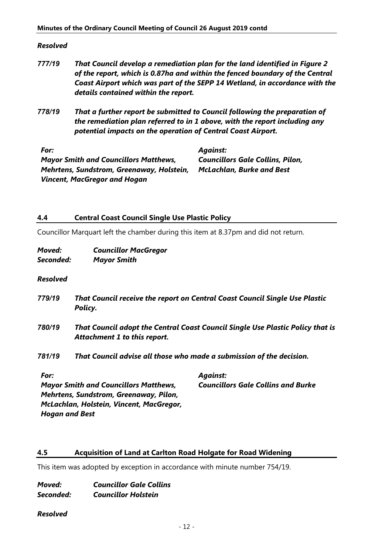#### *Resolved*

- *777/19 That Council develop a remediation plan for the land identified in Figure 2 of the report, which is 0.87ha and within the fenced boundary of the Central Coast Airport which was part of the SEPP 14 Wetland, in accordance with the details contained within the report.*
- *778/19 That a further report be submitted to Council following the preparation of the remediation plan referred to in 1 above, with the report including any potential impacts on the operation of Central Coast Airport.*

*For: Against: Mayor Smith and Councillors Matthews, Mehrtens, Sundstrom, Greenaway, Holstein, Vincent, MacGregor and Hogan Councillors Gale Collins, Pilon, McLachlan, Burke and Best*

#### **4.4 Central Coast Council Single Use Plastic Policy**

Councillor Marquart left the chamber during this item at 8.37pm and did not return.

*Moved: Councillor MacGregor Seconded: Mayor Smith*

#### *Resolved*

- *779/19 That Council receive the report on Central Coast Council Single Use Plastic Policy.*
- *780/19 That Council adopt the Central Coast Council Single Use Plastic Policy that is Attachment 1 to this report.*
- *781/19 That Council advise all those who made a submission of the decision.*

| For:                                         | <b>Against:</b>                           |
|----------------------------------------------|-------------------------------------------|
| <b>Mayor Smith and Councillors Matthews,</b> | <b>Councillors Gale Collins and Burke</b> |
| Mehrtens, Sundstrom, Greenaway, Pilon,       |                                           |
| McLachlan, Holstein, Vincent, MacGregor,     |                                           |
| <b>Hogan and Best</b>                        |                                           |

#### **4.5 Acquisition of Land at Carlton Road Holgate for Road Widening**

This item was adopted by exception in accordance with minute number 754/19.

*Moved: Councillor Gale Collins Seconded: Councillor Holstein*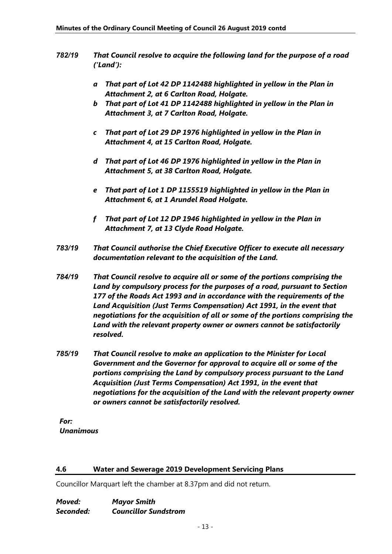- *782/19 That Council resolve to acquire the following land for the purpose of a road ('Land'):*
	- *a That part of Lot 42 DP 1142488 highlighted in yellow in the Plan in Attachment 2, at 6 Carlton Road, Holgate.*
	- *b That part of Lot 41 DP 1142488 highlighted in yellow in the Plan in Attachment 3, at 7 Carlton Road, Holgate.*
	- *c That part of Lot 29 DP 1976 highlighted in yellow in the Plan in Attachment 4, at 15 Carlton Road, Holgate.*
	- *d That part of Lot 46 DP 1976 highlighted in yellow in the Plan in Attachment 5, at 38 Carlton Road, Holgate.*
	- *e That part of Lot 1 DP 1155519 highlighted in yellow in the Plan in Attachment 6, at 1 Arundel Road Holgate.*
	- *f That part of Lot 12 DP 1946 highlighted in yellow in the Plan in Attachment 7, at 13 Clyde Road Holgate.*
- *783/19 That Council authorise the Chief Executive Officer to execute all necessary documentation relevant to the acquisition of the Land.*
- *784/19 That Council resolve to acquire all or some of the portions comprising the Land by compulsory process for the purposes of a road, pursuant to Section 177 of the Roads Act 1993 and in accordance with the requirements of the Land Acquisition (Just Terms Compensation) Act 1991, in the event that negotiations for the acquisition of all or some of the portions comprising the Land with the relevant property owner or owners cannot be satisfactorily resolved.*
- *785/19 That Council resolve to make an application to the Minister for Local Government and the Governor for approval to acquire all or some of the portions comprising the Land by compulsory process pursuant to the Land Acquisition (Just Terms Compensation) Act 1991, in the event that negotiations for the acquisition of the Land with the relevant property owner or owners cannot be satisfactorily resolved.*

*For: Unanimous*

#### **4.6 Water and Sewerage 2019 Development Servicing Plans**

Councillor Marquart left the chamber at 8.37pm and did not return.

*Moved: Mayor Smith Seconded: Councillor Sundstrom*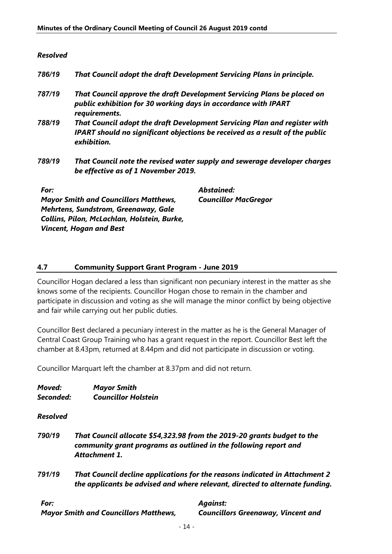| <b>Resolved</b> |                                                                                 |                                                                                                                                                                  |
|-----------------|---------------------------------------------------------------------------------|------------------------------------------------------------------------------------------------------------------------------------------------------------------|
| 786/19          |                                                                                 | That Council adopt the draft Development Servicing Plans in principle.                                                                                           |
| 787/19          | public exhibition for 30 working days in accordance with IPART<br>requirements. | That Council approve the draft Development Servicing Plans be placed on                                                                                          |
| 788/19          | exhibition.                                                                     | That Council adopt the draft Development Servicing Plan and register with<br><b>IPART</b> should no significant objections be received as a result of the public |
| 789/19          | be effective as of 1 November 2019.                                             | That Council note the revised water supply and sewerage developer charges                                                                                        |
| For:            |                                                                                 | Abstained:                                                                                                                                                       |
|                 | <b>Mayor Smith and Councillors Matthews,</b>                                    | <b>Councillor MacGregor</b>                                                                                                                                      |
|                 | <b>Mehrtens, Sundstrom, Greenaway, Gale</b>                                     |                                                                                                                                                                  |
|                 | Collins, Pilon, McLachlan, Holstein, Burke,                                     |                                                                                                                                                                  |
|                 | <b>Vincent, Hogan and Best</b>                                                  |                                                                                                                                                                  |

# **4.7 Community Support Grant Program - June 2019**

Councillor Hogan declared a less than significant non pecuniary interest in the matter as she knows some of the recipients. Councillor Hogan chose to remain in the chamber and participate in discussion and voting as she will manage the minor conflict by being objective and fair while carrying out her public duties.

Councillor Best declared a pecuniary interest in the matter as he is the General Manager of Central Coast Group Training who has a grant request in the report. Councillor Best left the chamber at 8.43pm, returned at 8.44pm and did not participate in discussion or voting.

Councillor Marquart left the chamber at 8.37pm and did not return.

| Moved:    | <b>Mayor Smith</b>         |
|-----------|----------------------------|
| Seconded: | <b>Councillor Holstein</b> |

- *790/19 That Council allocate \$54,323.98 from the 2019-20 grants budget to the community grant programs as outlined in the following report and Attachment 1.*
- *791/19 That Council decline applications for the reasons indicated in Attachment 2 the applicants be advised and where relevant, directed to alternate funding.*

| For:                                         | <b>Against:</b>                           |
|----------------------------------------------|-------------------------------------------|
| <b>Mayor Smith and Councillors Matthews,</b> | <b>Councillors Greenaway, Vincent and</b> |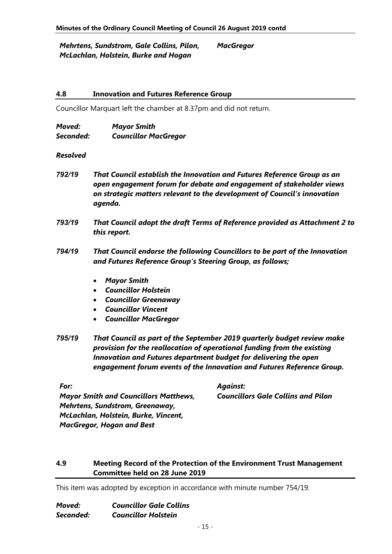*Mehrtens, Sundstrom, Gale Collins, Pilon, McLachlan, Holstein, Burke and Hogan MacGregor*

#### **4.8 Innovation and Futures Reference Group**

Councillor Marquart left the chamber at 8.37pm and did not return.

*Moved: Mayor Smith Seconded: Councillor MacGregor*

#### *Resolved*

- *792/19 That Council establish the Innovation and Futures Reference Group as an open engagement forum for debate and engagement of stakeholder views on strategic matters relevant to the development of Council's innovation agenda.*
- *793/19 That Council adopt the draft Terms of Reference provided as Attachment 2 to this report.*
- *794/19 That Council endorse the following Councillors to be part of the Innovation and Futures Reference Group's Steering Group, as follows;*
	- *Mayor Smith*
	- *Councillor Holstein*
	- *Councillor Greenaway*
	- *Councillor Vincent*
	- *Councillor MacGregor*
- *795/19 That Council as part of the September 2019 quarterly budget review make provision for the reallocation of operational funding from the existing Innovation and Futures department budget for delivering the open engagement forum events of the Innovation and Futures Reference Group.*

*For: Against: Mayor Smith and Councillors Matthews, Mehrtens, Sundstrom, Greenaway, McLachlan, Holstein, Burke, Vincent, MacGregor, Hogan and Best*

*Councillors Gale Collins and Pilon*

## **4.9 Meeting Record of the Protection of the Environment Trust Management Committee held on 28 June 2019**

This item was adopted by exception in accordance with minute number 754/19.

| Moved:    | <b>Councillor Gale Collins</b> |
|-----------|--------------------------------|
| Seconded: | <b>Councillor Holstein</b>     |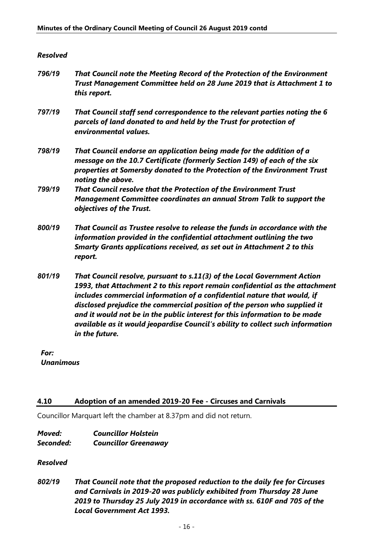#### *Resolved*

- *796/19 That Council note the Meeting Record of the Protection of the Environment Trust Management Committee held on 28 June 2019 that is Attachment 1 to this report.*
- *797/19 That Council staff send correspondence to the relevant parties noting the 6 parcels of land donated to and held by the Trust for protection of environmental values.*
- *798/19 That Council endorse an application being made for the addition of a message on the 10.7 Certificate (formerly Section 149) of each of the six properties at Somersby donated to the Protection of the Environment Trust noting the above.*
- *799/19 That Council resolve that the Protection of the Environment Trust Management Committee coordinates an annual Strom Talk to support the objectives of the Trust.*
- *800/19 That Council as Trustee resolve to release the funds in accordance with the information provided in the confidential attachment outlining the two Smarty Grants applications received, as set out in Attachment 2 to this report.*
- *801/19 That Council resolve, pursuant to s.11(3) of the Local Government Action 1993, that Attachment 2 to this report remain confidential as the attachment includes commercial information of a confidential nature that would, if disclosed prejudice the commercial position of the person who supplied it and it would not be in the public interest for this information to be made available as it would jeopardise Council's ability to collect such information in the future.*

*For: Unanimous*

## **4.10 Adoption of an amended 2019-20 Fee - Circuses and Carnivals**

Councillor Marquart left the chamber at 8.37pm and did not return.

*Moved: Councillor Holstein Seconded: Councillor Greenaway*

## *Resolved*

*802/19 That Council note that the proposed reduction to the daily fee for Circuses and Carnivals in 2019-20 was publicly exhibited from Thursday 28 June 2019 to Thursday 25 July 2019 in accordance with ss. 610F and 705 of the Local Government Act 1993.*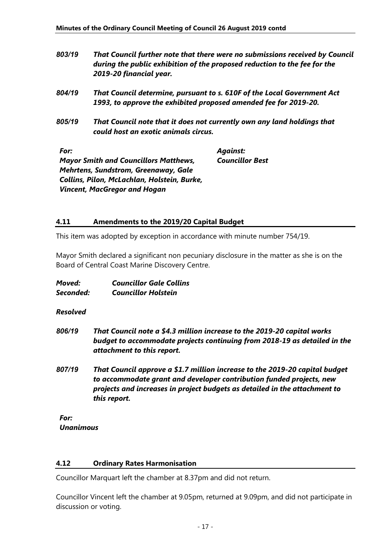- *803/19 That Council further note that there were no submissions received by Council during the public exhibition of the proposed reduction to the fee for the 2019-20 financial year.*
- *804/19 That Council determine, pursuant to s. 610F of the Local Government Act 1993, to approve the exhibited proposed amended fee for 2019-20.*
- *805/19 That Council note that it does not currently own any land holdings that could host an exotic animals circus.*

*For: Against: Mayor Smith and Councillors Matthews, Mehrtens, Sundstrom, Greenaway, Gale Collins, Pilon, McLachlan, Holstein, Burke, Vincent, MacGregor and Hogan Councillor Best*

#### **4.11 Amendments to the 2019/20 Capital Budget**

This item was adopted by exception in accordance with minute number 754/19.

Mayor Smith declared a significant non pecuniary disclosure in the matter as she is on the Board of Central Coast Marine Discovery Centre.

| Moved:    | <b>Councillor Gale Collins</b> |
|-----------|--------------------------------|
| Seconded: | <b>Councillor Holstein</b>     |

#### *Resolved*

- *806/19 That Council note a \$4.3 million increase to the 2019-20 capital works budget to accommodate projects continuing from 2018-19 as detailed in the attachment to this report.*
- *807/19 That Council approve a \$1.7 million increase to the 2019-20 capital budget to accommodate grant and developer contribution funded projects, new projects and increases in project budgets as detailed in the attachment to this report.*
- *For: Unanimous*

#### **4.12 Ordinary Rates Harmonisation**

Councillor Marquart left the chamber at 8.37pm and did not return.

Councillor Vincent left the chamber at 9.05pm, returned at 9.09pm, and did not participate in discussion or voting.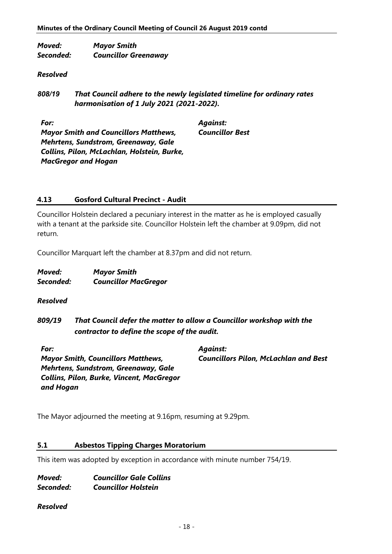# *Moved: Mayor Smith Seconded: Councillor Greenaway*

#### *Resolved*

*808/19 That Council adhere to the newly legislated timeline for ordinary rates harmonisation of 1 July 2021 (2021-2022).*

| For:                                         | <b>Against:</b>        |
|----------------------------------------------|------------------------|
| <b>Mayor Smith and Councillors Matthews,</b> | <b>Councillor Best</b> |
| <b>Mehrtens, Sundstrom, Greenaway, Gale</b>  |                        |
| Collins, Pilon, McLachlan, Holstein, Burke,  |                        |
| <b>MacGregor and Hogan</b>                   |                        |

#### **4.13 Gosford Cultural Precinct - Audit**

Councillor Holstein declared a pecuniary interest in the matter as he is employed casually with a tenant at the parkside site. Councillor Holstein left the chamber at 9.09pm, did not return.

Councillor Marquart left the chamber at 8.37pm and did not return.

| Moved:    | <b>Mayor Smith</b>          |
|-----------|-----------------------------|
| Seconded: | <b>Councillor MacGregor</b> |

#### *Resolved*

*809/19 That Council defer the matter to allow a Councillor workshop with the contractor to define the scope of the audit.*

*For: Against: Mayor Smith, Councillors Matthews, Mehrtens, Sundstrom, Greenaway, Gale Collins, Pilon, Burke, Vincent, MacGregor and Hogan Councillors Pilon, McLachlan and Best*

The Mayor adjourned the meeting at 9.16pm, resuming at 9.29pm.

#### **5.1 Asbestos Tipping Charges Moratorium**

This item was adopted by exception in accordance with minute number 754/19.

*Moved: Councillor Gale Collins Seconded: Councillor Holstein*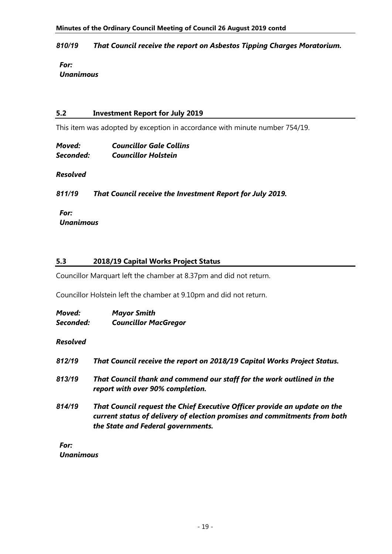#### *810/19 That Council receive the report on Asbestos Tipping Charges Moratorium.*

#### *For: Unanimous*

## **5.2 Investment Report for July 2019**

This item was adopted by exception in accordance with minute number 754/19.

*Moved: Councillor Gale Collins Seconded: Councillor Holstein*

#### *Resolved*

*811/19 That Council receive the Investment Report for July 2019.*

*For: Unanimous*

#### **5.3 2018/19 Capital Works Project Status**

Councillor Marquart left the chamber at 8.37pm and did not return.

Councillor Holstein left the chamber at 9.10pm and did not return.

| Moved:<br>Seconded: | <b>Mayor Smith</b><br><b>Councillor MacGregor</b>                                                                                                                                            |
|---------------------|----------------------------------------------------------------------------------------------------------------------------------------------------------------------------------------------|
| <b>Resolved</b>     |                                                                                                                                                                                              |
| 812/19              | That Council receive the report on 2018/19 Capital Works Project Status.                                                                                                                     |
| 813/19              | That Council thank and commend our staff for the work outlined in the<br>report with over 90% completion.                                                                                    |
| 814/19              | That Council request the Chief Executive Officer provide an update on the<br>current status of delivery of election promises and commitments from both<br>the State and Federal governments. |
| For:                |                                                                                                                                                                                              |

*Unanimous*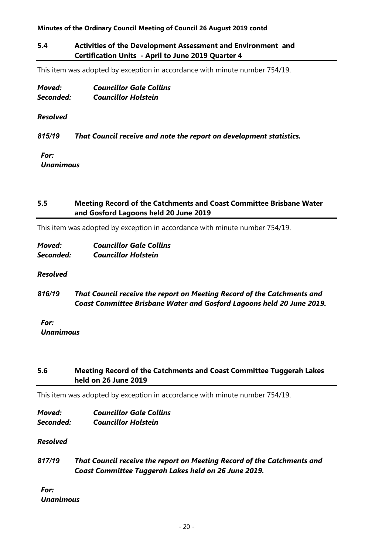# **5.4 Activities of the Development Assessment and Environment and Certification Units - April to June 2019 Quarter 4**

This item was adopted by exception in accordance with minute number 754/19.

| Moved:    | <b>Councillor Gale Collins</b> |
|-----------|--------------------------------|
| Seconded: | <b>Councillor Holstein</b>     |

#### *Resolved*

*815/19 That Council receive and note the report on development statistics.*

*For: Unanimous*

# **5.5 Meeting Record of the Catchments and Coast Committee Brisbane Water and Gosford Lagoons held 20 June 2019**

This item was adopted by exception in accordance with minute number 754/19.

*Moved: Councillor Gale Collins Seconded: Councillor Holstein*

#### *Resolved*

*816/19 That Council receive the report on Meeting Record of the Catchments and Coast Committee Brisbane Water and Gosford Lagoons held 20 June 2019.*

#### *For: Unanimous*

## **5.6 Meeting Record of the Catchments and Coast Committee Tuggerah Lakes held on 26 June 2019**

This item was adopted by exception in accordance with minute number 754/19.

*Moved: Councillor Gale Collins Seconded: Councillor Holstein*

#### *Resolved*

## *817/19 That Council receive the report on Meeting Record of the Catchments and Coast Committee Tuggerah Lakes held on 26 June 2019.*

*For: Unanimous*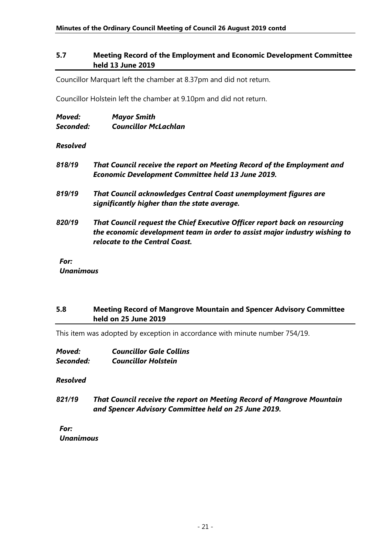## **5.7 Meeting Record of the Employment and Economic Development Committee held 13 June 2019**

Councillor Marquart left the chamber at 8.37pm and did not return.

Councillor Holstein left the chamber at 9.10pm and did not return.

| Moved:    | <b>Mayor Smith</b>          |
|-----------|-----------------------------|
| Seconded: | <b>Councillor McLachlan</b> |

#### *Resolved*

- *818/19 That Council receive the report on Meeting Record of the Employment and Economic Development Committee held 13 June 2019.*
- *819/19 That Council acknowledges Central Coast unemployment figures are significantly higher than the state average.*
- *820/19 That Council request the Chief Executive Officer report back on resourcing the economic development team in order to assist major industry wishing to relocate to the Central Coast.*

# *For:*

*Unanimous*

# **5.8 Meeting Record of Mangrove Mountain and Spencer Advisory Committee held on 25 June 2019**

This item was adopted by exception in accordance with minute number 754/19.

| Moved:    | <b>Councillor Gale Collins</b> |
|-----------|--------------------------------|
| Seconded: | <b>Councillor Holstein</b>     |

## *Resolved*

*821/19 That Council receive the report on Meeting Record of Mangrove Mountain and Spencer Advisory Committee held on 25 June 2019.*

*For: Unanimous*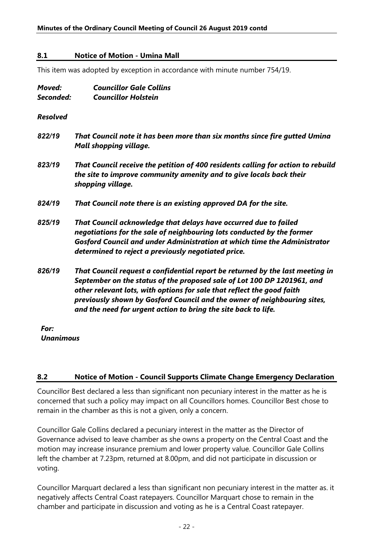#### **8.1 Notice of Motion - Umina Mall**

This item was adopted by exception in accordance with minute number 754/19.

| Moved:    | <b>Councillor Gale Collins</b> |
|-----------|--------------------------------|
| Seconded: | <b>Councillor Holstein</b>     |

#### *Resolved*

- *822/19 That Council note it has been more than six months since fire gutted Umina Mall shopping village.*
- *823/19 That Council receive the petition of 400 residents calling for action to rebuild the site to improve community amenity and to give locals back their shopping village.*
- *824/19 That Council note there is an existing approved DA for the site.*
- *825/19 That Council acknowledge that delays have occurred due to failed negotiations for the sale of neighbouring lots conducted by the former Gosford Council and under Administration at which time the Administrator determined to reject a previously negotiated price.*
- *826/19 That Council request a confidential report be returned by the last meeting in September on the status of the proposed sale of Lot 100 DP 1201961, and other relevant lots, with options for sale that reflect the good faith previously shown by Gosford Council and the owner of neighbouring sites, and the need for urgent action to bring the site back to life.*

*For: Unanimous*

## **8.2 Notice of Motion - Council Supports Climate Change Emergency Declaration**

Councillor Best declared a less than significant non pecuniary interest in the matter as he is concerned that such a policy may impact on all Councillors homes. Councillor Best chose to remain in the chamber as this is not a given, only a concern.

Councillor Gale Collins declared a pecuniary interest in the matter as the Director of Governance advised to leave chamber as she owns a property on the Central Coast and the motion may increase insurance premium and lower property value. Councillor Gale Collins left the chamber at 7.23pm, returned at 8.00pm, and did not participate in discussion or voting.

Councillor Marquart declared a less than significant non pecuniary interest in the matter as. it negatively affects Central Coast ratepayers. Councillor Marquart chose to remain in the chamber and participate in discussion and voting as he is a Central Coast ratepayer.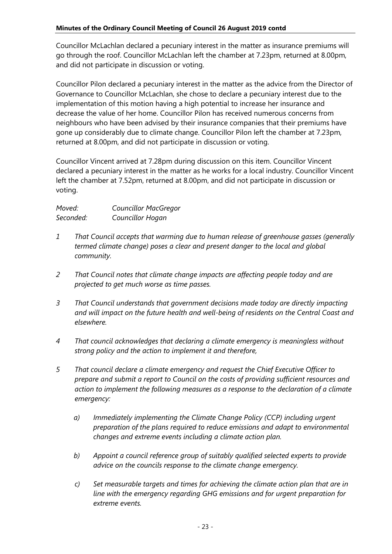Councillor McLachlan declared a pecuniary interest in the matter as insurance premiums will go through the roof. Councillor McLachlan left the chamber at 7.23pm, returned at 8.00pm, and did not participate in discussion or voting.

Councillor Pilon declared a pecuniary interest in the matter as the advice from the Director of Governance to Councillor McLachlan, she chose to declare a pecuniary interest due to the implementation of this motion having a high potential to increase her insurance and decrease the value of her home. Councillor Pilon has received numerous concerns from neighbours who have been advised by their insurance companies that their premiums have gone up considerably due to climate change. Councillor Pilon left the chamber at 7.23pm, returned at 8.00pm, and did not participate in discussion or voting.

Councillor Vincent arrived at 7.28pm during discussion on this item. Councillor Vincent declared a pecuniary interest in the matter as he works for a local industry. Councillor Vincent left the chamber at 7.52pm, returned at 8.00pm, and did not participate in discussion or voting.

| Moved:    | <b>Councillor MacGregor</b> |
|-----------|-----------------------------|
| Seconded: | Councillor Hogan            |

- *1 That Council accepts that warming due to human release of greenhouse gasses (generally termed climate change) poses a clear and present danger to the local and global community.*
- *2 That Council notes that climate change impacts are affecting people today and are projected to get much worse as time passes.*
- *3 That Council understands that government decisions made today are directly impacting and will impact on the future health and well-being of residents on the Central Coast and elsewhere.*
- *4 That council acknowledges that declaring a climate emergency is meaningless without strong policy and the action to implement it and therefore,*
- *5 That council declare a climate emergency and request the Chief Executive Officer to prepare and submit a report to Council on the costs of providing sufficient resources and action to implement the following measures as a response to the declaration of a climate emergency:*
	- *a) Immediately implementing the Climate Change Policy (CCP) including urgent preparation of the plans required to reduce emissions and adapt to environmental changes and extreme events including a climate action plan.*
	- *b) Appoint a council reference group of suitably qualified selected experts to provide advice on the councils response to the climate change emergency.*
	- *c) Set measurable targets and times for achieving the climate action plan that are in line with the emergency regarding GHG emissions and for urgent preparation for extreme events.*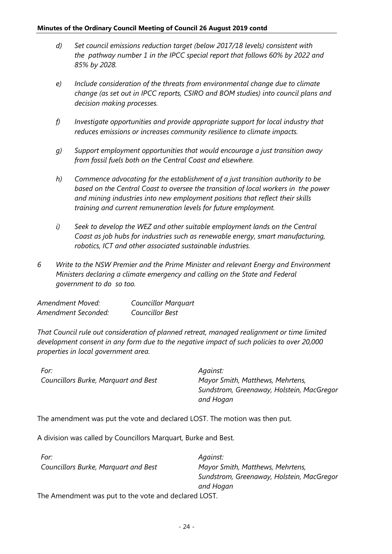- *d) Set council emissions reduction target (below 2017/18 levels) consistent with the pathway number 1 in the IPCC special report that follows 60% by 2022 and 85% by 2028.*
- *e) Include consideration of the threats from environmental change due to climate change (as set out in IPCC reports, CSIRO and BOM studies) into council plans and decision making processes.*
- *f) Investigate opportunities and provide appropriate support for local industry that reduces emissions or increases community resilience to climate impacts.*
- *g) Support employment opportunities that would encourage a just transition away from fossil fuels both on the Central Coast and elsewhere.*
- *h) Commence advocating for the establishment of a just transition authority to be based on the Central Coast to oversee the transition of local workers in the power and mining industries into new employment positions that reflect their skills training and current remuneration levels for future employment.*
- *i) Seek to develop the WEZ and other suitable employment lands on the Central Coast as job hubs for industries such as renewable energy, smart manufacturing, robotics, ICT and other associated sustainable industries.*
- *6 Write to the NSW Premier and the Prime Minister and relevant Energy and Environment Ministers declaring a climate emergency and calling on the State and Federal government to do so too.*

| Amendment Moved:    | <b>Councillor Marquart</b> |
|---------------------|----------------------------|
| Amendment Seconded: | <b>Councillor Best</b>     |

*That Council rule out consideration of planned retreat, managed realignment or time limited development consent in any form due to the negative impact of such policies to over 20,000 properties in local government area.*

| For:                                 | Against:                                  |
|--------------------------------------|-------------------------------------------|
| Councillors Burke, Marguart and Best | Mayor Smith, Matthews, Mehrtens,          |
|                                      | Sundstrom, Greenaway, Holstein, MacGregor |
|                                      | and Hogan                                 |

The amendment was put the vote and declared LOST. The motion was then put.

A division was called by Councillors Marquart, Burke and Best.

| For:                                                | Against:                                  |
|-----------------------------------------------------|-------------------------------------------|
| Councillors Burke, Marquart and Best                | Mayor Smith, Matthews, Mehrtens,          |
|                                                     | Sundstrom, Greenaway, Holstein, MacGregor |
|                                                     | and Hogan                                 |
| The Amendment was put to the vote and declared LOST |                                           |

The Amendment was put to the vote and declared LOST.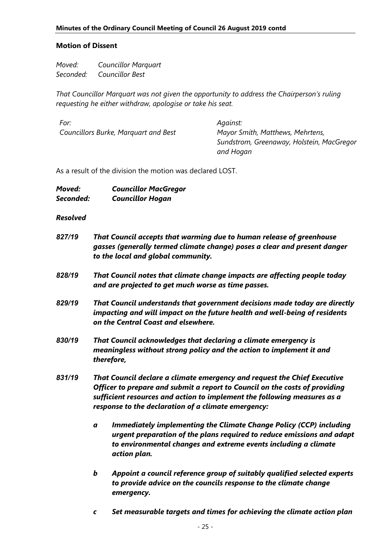#### **Motion of Dissent**

*Moved: Councillor Marquart Seconded: Councillor Best*

*That Councillor Marquart was not given the opportunity to address the Chairperson's ruling requesting he either withdraw, apologise or take his seat.*

| For:                                 | Against:                                  |
|--------------------------------------|-------------------------------------------|
| Councillors Burke, Marguart and Best | Mayor Smith, Matthews, Mehrtens,          |
|                                      | Sundstrom, Greenaway, Holstein, MacGregor |
|                                      | and Hogan                                 |

As a result of the division the motion was declared LOST.

| Moved:    | <b>Councillor MacGregor</b> |
|-----------|-----------------------------|
| Seconded: | <b>Councillor Hogan</b>     |

| 827/19 |                                                                                                                                                       | That Council accepts that warming due to human release of greenhouse<br>gasses (generally termed climate change) poses a clear and present danger<br>to the local and global community.                                                                                                    |  |
|--------|-------------------------------------------------------------------------------------------------------------------------------------------------------|--------------------------------------------------------------------------------------------------------------------------------------------------------------------------------------------------------------------------------------------------------------------------------------------|--|
| 828/19 |                                                                                                                                                       | That Council notes that climate change impacts are affecting people today<br>and are projected to get much worse as time passes.                                                                                                                                                           |  |
| 829/19 |                                                                                                                                                       | That Council understands that government decisions made today are directly<br>impacting and will impact on the future health and well-being of residents<br>on the Central Coast and elsewhere.                                                                                            |  |
| 830/19 | That Council acknowledges that declaring a climate emergency is<br>meaningless without strong policy and the action to implement it and<br>therefore, |                                                                                                                                                                                                                                                                                            |  |
| 831/19 |                                                                                                                                                       | That Council declare a climate emergency and request the Chief Executive<br>Officer to prepare and submit a report to Council on the costs of providing<br>sufficient resources and action to implement the following measures as a<br>response to the declaration of a climate emergency: |  |
|        | a                                                                                                                                                     | <b>Immediately implementing the Climate Change Policy (CCP) including</b><br>urgent preparation of the plans required to reduce emissions and adapt<br>to environmental changes and extreme events including a climate<br>action plan.                                                     |  |
|        | b                                                                                                                                                     | Appoint a council reference group of suitably qualified selected experts<br>to provide advice on the councils response to the climate change<br>emergency.                                                                                                                                 |  |
|        | $\mathbf c$                                                                                                                                           | Set measurable targets and times for achieving the climate action plan                                                                                                                                                                                                                     |  |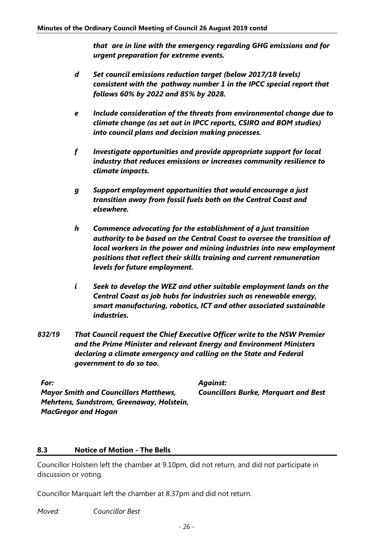*that are in line with the emergency regarding GHG emissions and for urgent preparation for extreme events.*

- *d Set council emissions reduction target (below 2017/18 levels) consistent with the pathway number 1 in the IPCC special report that follows 60% by 2022 and 85% by 2028.*
- *e Include consideration of the threats from environmental change due to climate change (as set out in IPCC reports, CSIRO and BOM studies) into council plans and decision making processes.*
- *f Investigate opportunities and provide appropriate support for local industry that reduces emissions or increases community resilience to climate impacts.*
- *g Support employment opportunities that would encourage a just transition away from fossil fuels both on the Central Coast and elsewhere.*
- *h Commence advocating for the establishment of a just transition authority to be based on the Central Coast to oversee the transition of local workers in the power and mining industries into new employment positions that reflect their skills training and current remuneration levels for future employment.*
- *i Seek to develop the WEZ and other suitable employment lands on the Central Coast as job hubs for industries such as renewable energy, smart manufacturing, robotics, ICT and other associated sustainable industries.*
- *832/19 That Council request the Chief Executive Officer write to the NSW Premier and the Prime Minister and relevant Energy and Environment Ministers declaring a climate emergency and calling on the State and Federal government to do so too.*

*For: Against: Mayor Smith and Councillors Matthews, Mehrtens, Sundstrom, Greenaway, Holstein, MacGregor and Hogan Councillors Burke, Marquart and Best*

## **8.3 Notice of Motion - The Bells**

Councillor Holstein left the chamber at 9.10pm, did not return, and did not participate in discussion or voting.

Councillor Marquart left the chamber at 8.37pm and did not return.

*Moved: Councillor Best*